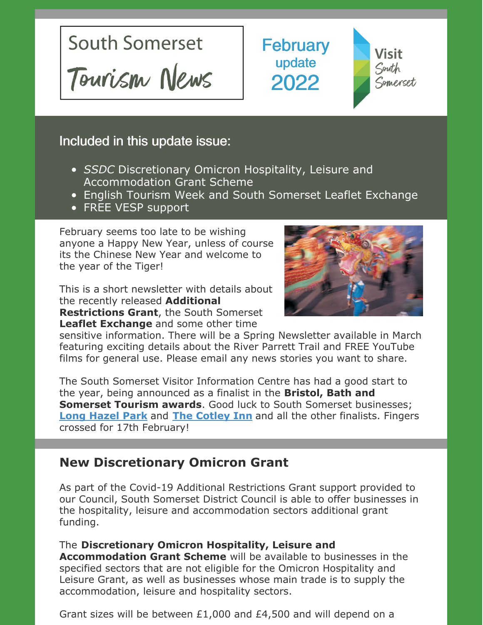

**February** update 2022



## Included in this update issue:

- *SSDC* Discretionary Omicron Hospitality, Leisure and Accommodation Grant Scheme
- **English Tourism Week and South Somerset Leaflet Exchange**
- FREE VESP support

February seems too late to be wishing anyone a Happy New Year, unless of course its the Chinese New Year and welcome to the year of the Tiger!

This is a short newsletter with details about the recently released **Additional Restrictions Grant**, the South Somerset **Leaflet Exchange** and some other time



sensitive information. There will be a Spring Newsletter available in March featuring exciting details about the River Parrett Trail and FREE YouTube films for general use. Please email any news stories you want to share.

The South Somerset Visitor Information Centre has had a good start to the year, being announced as a finalist in the **Bristol, Bath and Somerset Tourism awards**. Good luck to South Somerset businesses; **Long [Hazel](https://www.longhazelpark.co.uk/) Park** and **The [Cotley](https://www.cotleyinnwambrook.co.uk/) Inn** and all the other finalists. Fingers crossed for 17th February!

## **New Discretionary Omicron Grant**

As part of the Covid-19 Additional Restrictions Grant support provided to our Council, South Somerset District Council is able to offer businesses in the hospitality, leisure and accommodation sectors additional grant funding.

The **Discretionary Omicron Hospitality, Leisure and Accommodation Grant Scheme** will be available to businesses in the specified sectors that are not eligible for the Omicron Hospitality and Leisure Grant, as well as businesses whose main trade is to supply the accommodation, leisure and hospitality sectors.

Grant sizes will be between £1,000 and £4,500 and will depend on a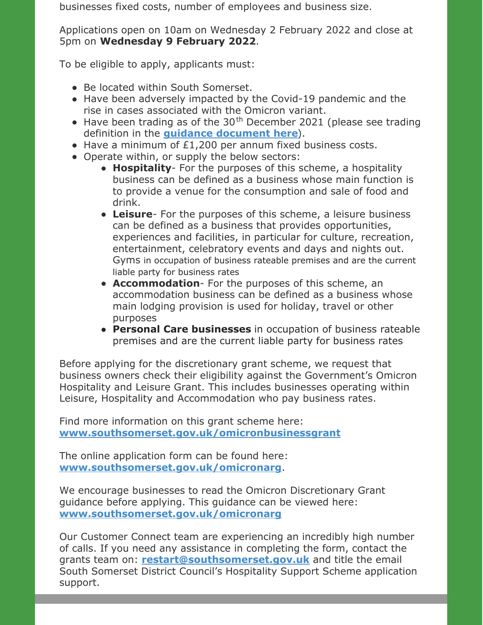businesses fixed costs, number of employees and business size.

Applications open on 10am on Wednesday 2 February 2022 and close at 5pm on **Wednesday 9 February 2022**.

To be eligible to apply, applicants must:

- Be located within South Somerset.
- Have been adversely impacted by the Covid-19 pandemic and the rise in cases associated with the Omicron variant.
- Have been trading as of the  $30<sup>th</sup>$  December 2021 (please see trading definition in the **guidance [document](https://www.southsomerset.gov.uk/media/5300/south-somerset-district-council-discretionary-omicron-scheme-guidance-v2.pdf) here**).
- Have a minimum of £1,200 per annum fixed business costs.
- Operate within, or supply the below sectors:
	- **Hospitality** For the purposes of this scheme, a hospitality business can be defined as a business whose main function is to provide a venue for the consumption and sale of food and drink.
	- **Leisure** For the purposes of this scheme, a leisure business can be defined as a business that provides opportunities, experiences and facilities, in particular for culture, recreation, entertainment, celebratory events and days and nights out. Gyms in occupation of business rateable premises and are the current liable party for business rates
	- **Accommodation** For the purposes of this scheme, an accommodation business can be defined as a business whose main lodging provision is used for holiday, travel or other purposes
	- **Personal Care businesses** in occupation of business rateable premises and are the current liable party for business rates

Before applying for the discretionary grant scheme, we request that business owners check their eligibility against the Government's Omicron Hospitality and Leisure Grant. This includes businesses operating within Leisure, Hospitality and Accommodation who pay business rates.

Find more information on this grant scheme here: **[www.southsomerset.gov.uk/omicronbusinessgrant](http://www.southsomerset.gov.uk/omicronbusinessgrant)**

The online application form can be found here: **[www.southsomerset.gov.uk/omicronarg](http://www.southsomerset.gov.uk/omicronarg)**.

We encourage businesses to read the Omicron Discretionary Grant guidance before applying. This guidance can be viewed here: **[www.southsomerset.gov.uk/omicronarg](http://www.southsomerset.gov.uk/omicronarg)**

Our Customer Connect team are experiencing an incredibly high number of calls. If you need any assistance in completing the form, contact the grants team on: **[restart@southsomerset.gov.uk](mailto:restart@southsomerset.gov.uk)** and title the email South Somerset District Council's Hospitality Support Scheme application support.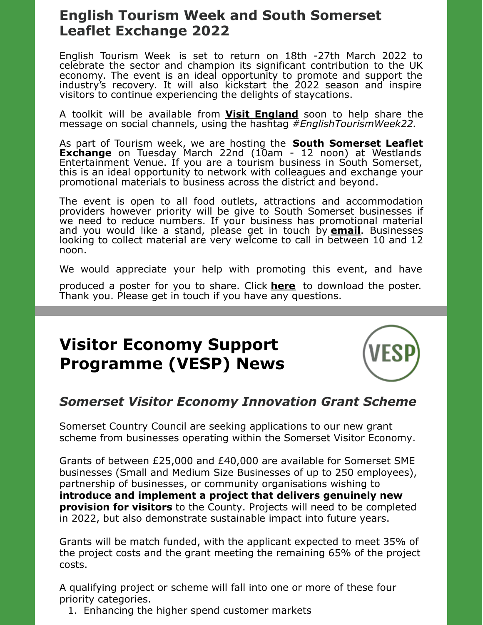## **English Tourism Week and South Somerset Leaflet Exchange 2022**

English Tourism Week is set to return on 18th -27th March 2022 to celebrate the sector and champion its significant contribution to the UK economy. The event is an ideal opportunity to promote and support the industry's recovery. It will also kickstart the 2022 season and inspire visitors to continue experiencing the delights of staycations.

A toolkit will be available from **Visit [England](https://www.visitbritain.org/english-tourism-week)** soon to help share the message on social channels, using the hashtag *#EnglishTourismWeek22.*

As part of Tourism week, we are hosting the **South Somerset Leaflet Exchange** on Tuesday March 22nd (10am - 12 noon) at Westlands Entertainment Venue. If you are a tourism business in South Somerset, this is an ideal opportunity to network with colleagues and exchange your promotional materials to business across the district and beyond.

The event is open to all food outlets, attractions and accommodation providers however priority will be give to South Somerset businesses if we need to reduce numbers. If your business has promotional material and you would like a stand, please get in touch by **[email](mailto:tourism@southsomerset.gov.uk)**. Businesses looking to collect material are very welcome to call in between 10 and 12 noon.

We would appreciate your help with promoting this event, and have

produced a poster for you to share. Click **[here](https://files.constantcontact.com/1af0b229001/566fd274-05be-4d04-bba8-37377b90493b.pdf)** to download the poster. Thank you. Please get in touch if you have any questions.

# **Visitor Economy Support Programme (VESP) News**



#### *Somerset Visitor Economy Innovation Grant Scheme*

Somerset Country Council are seeking applications to our new grant scheme from businesses operating within the Somerset Visitor Economy.

Grants of between £25,000 and £40,000 are available for Somerset SME businesses (Small and Medium Size Businesses of up to 250 employees), partnership of businesses, or community organisations wishing to **introduce and implement a project that delivers genuinely new provision for visitors** to the County. Projects will need to be completed in 2022, but also demonstrate sustainable impact into future years.

Grants will be match funded, with the applicant expected to meet 35% of the project costs and the grant meeting the remaining 65% of the project costs.

A qualifying project or scheme will fall into one or more of these four priority categories.

1. Enhancing the higher spend customer markets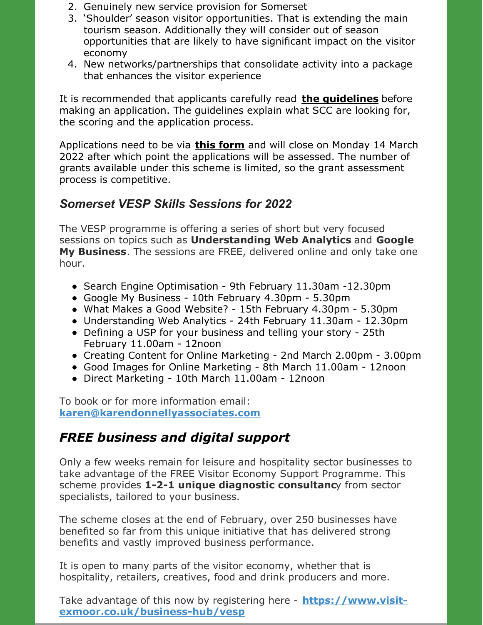- 2. Genuinely new service provision for Somerset
- 3. 'Shoulder' season visitor opportunities. That is extending the main tourism season. Additionally they will consider out of season opportunities that are likely to have significant impact on the visitor economy
- 4. New networks/partnerships that consolidate activity into a package that enhances the visitor experience

It is recommended that applicants carefully read **the [guidelines](https://somersetcc.sharepoint.com/:b:/s/SCCPublic/EcD8R4ita0dEhTEQk4-BdnwBuxx2h9JYJFzdiV6xEqQ3nw?e=BiXDLK)** before making an application. The guidelines explain what SCC are looking for, the scoring and the application process.

Applications need to be via **this [form](https://services.somerset.gov.uk/vesp-application)** and will close on Monday 14 March 2022 after which point the applications will be assessed. The number of grants available under this scheme is limited, so the grant assessment process is competitive.

#### *Somerset VESP Skills Sessions for 2022*

The VESP programme is offering a series of short but very focused sessions on topics such as **Understanding Web Analytics** and **Google My Business**. The sessions are FREE, delivered online and only take one hour.

- Search Engine Optimisation 9th February 11.30am -12.30pm
- Google My Business 10th February 4.30pm 5.30pm
- What Makes a Good Website? 15th February 4.30pm 5.30pm
- Understanding Web Analytics 24th February 11.30am 12.30pm
- Defining a USP for your business and telling your story 25th February 11.00am - 12noon
- Creating Content for Online Marketing 2nd March 2.00pm 3.00pm
- Good Images for Online Marketing 8th March 11.00am 12noon
- Direct Marketing 10th March 11.00am 12noon

To book or for more information email: **[karen@karendonnellyassociates.com](mailto:karen@karendonnellyassociates.com)**

## *FREE business and digital support*

Only a few weeks remain for leisure and hospitality sector businesses to take advantage of the FREE Visitor Economy Support Programme. This scheme provides **1-2-1 unique diagnostic consultanc**y from sector specialists, tailored to your business.

The scheme closes at the end of February, over 250 businesses have benefited so far from this unique initiative that has delivered strong benefits and vastly improved business performance.

It is open to many parts of the visitor economy, whether that is hospitality, retailers, creatives, food and drink producers and more.

Take advantage of this now by registering here - **https://www.visit[exmoor.co.uk/business-hub/vesp](https://www.visit-exmoor.co.uk/business-hub/vesp)**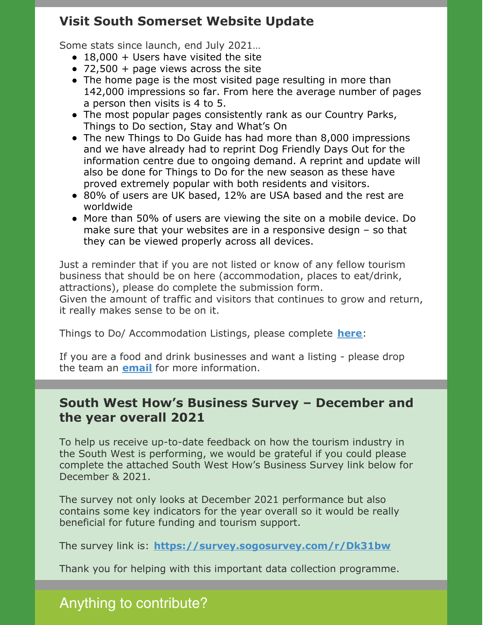#### **Visit South Somerset Website Update**

Some stats since launch, end July 2021…

- $\bullet$  18,000 + Users have visited the site
- $\bullet$  72,500 + page views across the site
- The home page is the most visited page resulting in more than 142,000 impressions so far. From here the average number of pages a person then visits is 4 to 5.
- The most popular pages consistently rank as our Country Parks, Things to Do section, Stay and What's On
- The new Things to Do Guide has had more than 8,000 impressions and we have already had to reprint Dog Friendly Days Out for the information centre due to ongoing demand. A reprint and update will also be done for Things to Do for the new season as these have proved extremely popular with both residents and visitors.
- 80% of users are UK based, 12% are USA based and the rest are worldwide
- More than 50% of users are viewing the site on a mobile device. Do make sure that your websites are in a responsive design – so that they can be viewed properly across all devices.

Just a reminder that if you are not listed or know of any fellow tourism business that should be on here (accommodation, places to eat/drink, attractions), please do complete the submission form.

Given the amount of traffic and visitors that continues to grow and return, it really makes sense to be on it.

Things to Do/ Accommodation Listings, please complete **[here](https://consultation.southsomerset.gov.uk/commercial-services-and-income-generation/free-visit-south-somerset-website-listing/)**:

If you are a food and drink businesses and want a listing - please drop the team an **[email](mailto:tourism@southsomerset.gov.uk)** for more information.

#### **South West How's Business Survey – December and the year overall 2021**

To help us receive up-to-date feedback on how the tourism industry in the South West is performing, we would be grateful if you could please complete the attached South West How's Business Survey link below for December & 2021.

The survey not only looks at December 2021 performance but also contains some key indicators for the year overall so it would be really beneficial for future funding and tourism support.

The survey link is: **<https://survey.sogosurvey.com/r/Dk31bw>**

Thank you for helping with this important data collection programme.

## Anything to contribute?